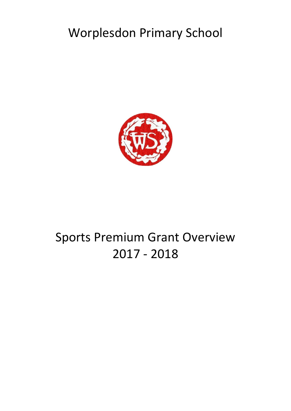## Worplesdon Primary School



# Sports Premium Grant Overview 2017 - 2018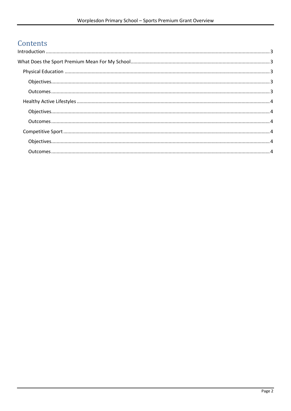## Contents

| $\label{eq:interadd} \text{Introduction} \,\, \ldots \,\, \ldots \,\, \ldots \,\, \ldots \,\, \ldots \,\, \ldots \,\, \ldots \,\, \ldots \,\, \ldots \,\, \ldots \,\, \ldots \,\, \ldots \,\, \ldots \,\, \ldots \,\, \ldots \,\, \ldots \,\, \ldots \,\, \ldots \,\, \ldots \,\, \ldots \,\, \ldots \,\, \ldots \,\, \ldots \,\, \ldots \,\, \ldots \,\, \ldots \,\, \ldots \,\, \ldots \,\, \ldots \,\, \ldots \,\, \ldots \,\, \ldots \,\, \ldots \,\, \ldots \,\,$ |  |
|------------------------------------------------------------------------------------------------------------------------------------------------------------------------------------------------------------------------------------------------------------------------------------------------------------------------------------------------------------------------------------------------------------------------------------------------------------------------|--|
|                                                                                                                                                                                                                                                                                                                                                                                                                                                                        |  |
|                                                                                                                                                                                                                                                                                                                                                                                                                                                                        |  |
|                                                                                                                                                                                                                                                                                                                                                                                                                                                                        |  |
|                                                                                                                                                                                                                                                                                                                                                                                                                                                                        |  |
|                                                                                                                                                                                                                                                                                                                                                                                                                                                                        |  |
|                                                                                                                                                                                                                                                                                                                                                                                                                                                                        |  |
|                                                                                                                                                                                                                                                                                                                                                                                                                                                                        |  |
|                                                                                                                                                                                                                                                                                                                                                                                                                                                                        |  |
|                                                                                                                                                                                                                                                                                                                                                                                                                                                                        |  |
|                                                                                                                                                                                                                                                                                                                                                                                                                                                                        |  |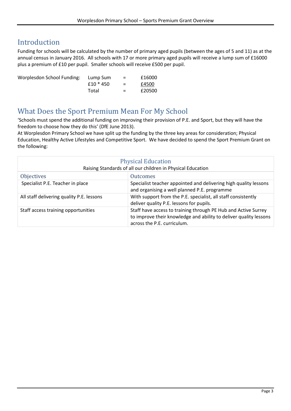### <span id="page-2-0"></span>Introduction

Funding for schools will be calculated by the number of primary aged pupils (between the ages of 5 and 11) as at the annual census in January 2016. All schools with 17 or more primary aged pupils will receive a lump sum of £16000 plus a premium of £10 per pupil. Smaller schools will receive £500 per pupil.

| Worplesdon School Funding: | Lump Sum    | $=$      | £16000 |
|----------------------------|-------------|----------|--------|
|                            | $f10 * 450$ | $\equiv$ | £4500  |
|                            | Total       | $=$ $-$  | £20500 |

#### <span id="page-2-1"></span>What Does the Sport Premium Mean For My School

'Schools must spend the additional funding on improving their provision of P.E. and Sport, but they will have the freedom to choose how they do this' (DfE June 2013).

At Worplesdon Primary School we have split up the funding by the three key areas for consideration; Physical Education, Healthy Active Lifestyles and Competitive Sport. We have decided to spend the Sport Premium Grant on the following:

<span id="page-2-4"></span><span id="page-2-3"></span><span id="page-2-2"></span>

| <b>Physical Education</b><br>Raising Standards of all our children in Physical Education |                                                                                                                                                                    |  |
|------------------------------------------------------------------------------------------|--------------------------------------------------------------------------------------------------------------------------------------------------------------------|--|
| <b>Objectives</b>                                                                        | <b>Outcomes</b>                                                                                                                                                    |  |
| Specialist P.E. Teacher in place                                                         | Specialist teacher appointed and delivering high quality lessons<br>and organising a well planned P.E. programme                                                   |  |
| All staff delivering quality P.E. lessons                                                | With support from the P.E. specialist, all staff consistently<br>deliver quality P.E. lessons for pupils.                                                          |  |
| Staff access training opportunities                                                      | Staff have access to training through PE Hub and Active Surrey<br>to improve their knowledge and ability to deliver quality lessons<br>across the P.E. curriculum. |  |